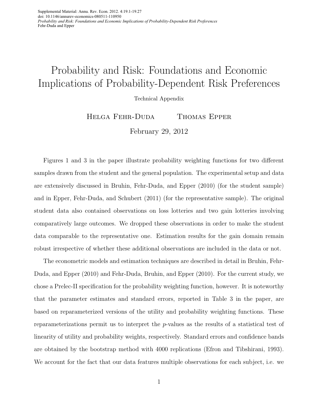Supplemental Material: Annu. Rev. Econ. 2012. 4:19.1-19.27 doi: 10.1146/annurev-economics-080511-110950 *Probability and Risk: Foundations and Economic Implications of Probability-Dependent Risk Preferences* Fehr-Duda and Epper

## Probability and Risk: Foundations and Economic Implications of Probability-Dependent Risk Preferences

Technical Appendix

Helga Fehr-Duda Thomas Epper February 29, 2012

Figures 1 and 3 in the paper illustrate probability weighting functions for two different samples drawn from the student and the general population. The experimental setup and data are extensively discussed in Bruhin, Fehr-Duda, and Epper (2010) (for the student sample) and in Epper, Fehr-Duda, and Schubert (2011) (for the representative sample). The original student data also contained observations on loss lotteries and two gain lotteries involving comparatively large outcomes. We dropped these observations in order to make the student data comparable to the representative one. Estimation results for the gain domain remain robust irrespective of whether these additional observations are included in the data or not.

The econometric models and estimation techniques are described in detail in Bruhin, Fehr-Duda, and Epper (2010) and Fehr-Duda, Bruhin, and Epper (2010). For the current study, we chose a Prelec-II specification for the probability weighting function, however. It is noteworthy that the parameter estimates and standard errors, reported in Table 3 in the paper, are based on reparameterized versions of the utility and probability weighting functions. These reparameterizations permit us to interpret the p-values as the results of a statistical test of linearity of utility and probability weights, respectively. Standard errors and confidence bands are obtained by the bootstrap method with 4000 replications (Efron and Tibshirani, 1993). We account for the fact that our data features multiple observations for each subject, i.e. we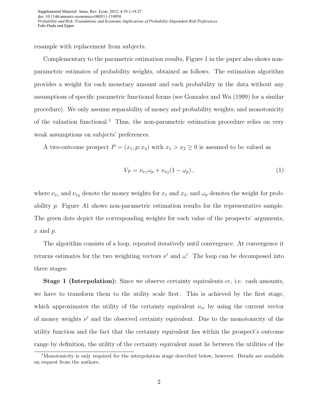resample with replacement from subjects.

Complementary to the parametric estimation results, Figure 1 in the paper also shows nonparametric estimates of probability weights, obtained as follows. The estimation algorithm provides a weight for each monetary amount and each probability in the data without any assumptions of specific parametric functional forms (see Gonzalez and Wu (1999) for a similar procedure). We only assume separability of money and probability weights, and monotonicity of the valuation functional.<sup>1</sup> Thus, the non-parametric estimation procedure relies on very weak assumptions on subjects' preferences.

A two-outcome prospect  $P = (x_1, p; x_2)$  with  $x_1 > x_2 \geq 0$  is assumed to be valued as

$$
V_P = \nu_{x_1} \omega_p + \nu_{x_2} (1 - \omega_p), \qquad (1)
$$

where  $\nu_{x_1}$  and  $\nu_{x_2}$  denote the money weights for  $x_1$  and  $x_2$ , and  $\omega_p$  denotes the weight for probability p. Figure A1 shows non-parametric estimation results for the representative sample. The green dots depict the corresponding weights for each value of the prospects' arguments,  $x$  and  $p$ .

The algorithm consists of a loop, repeated iteratively until convergence. At convergence it returns estimates for the two weighting vectors  $\nu'$  and  $\omega'$ . The loop can be decomposed into three stages:

**Stage 1 (Interpolation):** Since we observe certainty equivalents ce, i.e. cash amounts, we have to transform them to the utility scale first. This is achieved by the first stage, which approximates the utility of the certainty equivalent  $\nu_{ce}$  by using the current vector of money weights  $\nu'$  and the observed certainty equivalent. Due to the monotonicity of the utility function and the fact that the certainty equivalent lies within the prospect's outcome range by definition, the utility of the certainty equivalent must lie between the utilities of the

<sup>&</sup>lt;sup>1</sup>Monotonicity is only required for the interpolation stage described below, however. Details are available on request from the authors.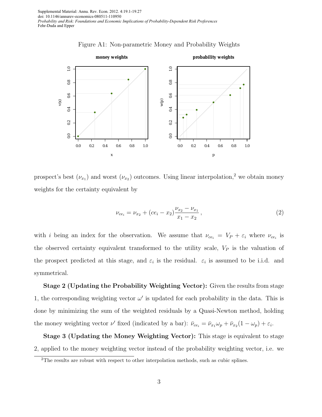Supplemental Material: Annu. Rev. Econ. 2012. 4:19.1-19.27 doi: 10.1146/annurev-economics-080511-110950 *Probability and Risk: Foundations and Economic Implications of Probability-Dependent Risk Preferences* Fehr-Duda and Epper





prospect's best  $(\nu_{x_1})$  and worst  $(\nu_{x_2})$  outcomes. Using linear interpolation,<sup>2</sup> we obtain money weights for the certainty equivalent by

$$
\nu_{ce_i} = \nu_{x_2} + (ce_i - x_2) \frac{\nu_{x_2} - \nu_{x_1}}{x_1 - x_2},
$$
\n(2)

with i being an index for the observation. We assume that  $\nu_{ce_i} = V_P + \varepsilon_i$  where  $\nu_{ce_i}$  is the observed certainty equivalent transformed to the utility scale,  $V_P$  is the valuation of the prospect predicted at this stage, and  $\varepsilon_i$  is the residual.  $\varepsilon_i$  is assumed to be i.i.d. and symmetrical.

**Stage 2 (Updating the Probability Weighting Vector):** Given the results from stage 1, the corresponding weighting vector  $\omega'$  is updated for each probability in the data. This is done by minimizing the sum of the weighted residuals by a Quasi-Newton method, holding the money weighting vector  $\nu'$  fixed (indicated by a bar):  $\bar{\nu}_{ce_i} = \bar{\nu}_{x_1} \omega_p + \bar{\nu}_{x_2} (1 - \omega_p) + \varepsilon_i$ .

**Stage 3 (Updating the Money Weighting Vector):** This stage is equivalent to stage 2, applied to the money weighting vector instead of the probability weighting vector, i.e. we

<sup>2</sup>The results are robust with respect to other interpolation methods, such as cubic splines.